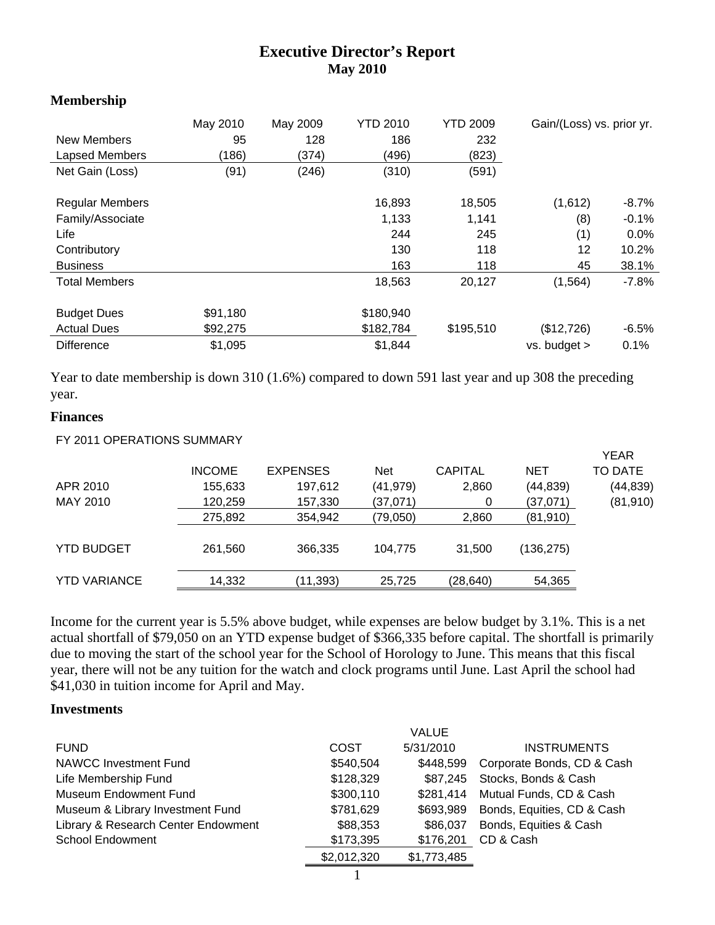# **Executive Director's Report May 2010**

#### **Membership**

| New Members<br>Lapsed Members<br>Net Gain (Loss)                                                              | May 2010<br>95<br>(186)<br>(91) | May 2009<br>128<br>(374)<br>(246) | <b>YTD 2010</b><br>186<br>(496)<br>(310)       | <b>YTD 2009</b><br>232<br>(823)<br>(591)       | Gain/(Loss) vs. prior yr.                     |                                                          |
|---------------------------------------------------------------------------------------------------------------|---------------------------------|-----------------------------------|------------------------------------------------|------------------------------------------------|-----------------------------------------------|----------------------------------------------------------|
| <b>Regular Members</b><br>Family/Associate<br>Life<br>Contributory<br><b>Business</b><br><b>Total Members</b> |                                 |                                   | 16,893<br>1,133<br>244<br>130<br>163<br>18,563 | 18,505<br>1,141<br>245<br>118<br>118<br>20,127 | (1,612)<br>(8)<br>(1)<br>12<br>45<br>(1, 564) | -8.7%<br>$-0.1%$<br>$0.0\%$<br>10.2%<br>38.1%<br>$-7.8%$ |
| <b>Budget Dues</b><br><b>Actual Dues</b><br><b>Difference</b>                                                 | \$91,180<br>\$92,275<br>\$1,095 |                                   | \$180,940<br>\$182,784<br>\$1,844              | \$195,510                                      | (\$12,726)<br>$vs.$ budget $>$                | $-6.5%$<br>0.1%                                          |

Year to date membership is down 310 (1.6%) compared to down 591 last year and up 308 the preceding year.

#### **Finances**

| FY 2011 OPERATIONS SUMMARY |               |                 |            |                |            |             |
|----------------------------|---------------|-----------------|------------|----------------|------------|-------------|
|                            |               |                 |            |                |            | <b>YEAR</b> |
|                            | <b>INCOME</b> | <b>EXPENSES</b> | <b>Net</b> | <b>CAPITAL</b> | <b>NET</b> | TO DATE     |
| APR 2010                   | 155,633       | 197,612         | (41, 979)  | 2,860          | (44, 839)  | (44,839)    |
| MAY 2010                   | 120,259       | 157,330         | (37,071)   | 0              | (37,071)   | (81, 910)   |
|                            | 275,892       | 354,942         | (79,050)   | 2,860          | (81, 910)  |             |
| <b>YTD BUDGET</b>          | 261,560       | 366,335         | 104,775    | 31,500         | (136,275)  |             |
| <b>YTD VARIANCE</b>        | 14,332        | (11,393)        | 25,725     | (28,640)       | 54,365     |             |

Income for the current year is 5.5% above budget, while expenses are below budget by 3.1%. This is a net actual shortfall of \$79,050 on an YTD expense budget of \$366,335 before capital. The shortfall is primarily due to moving the start of the school year for the School of Horology to June. This means that this fiscal year, there will not be any tuition for the watch and clock programs until June. Last April the school had \$41,030 in tuition income for April and May.

#### **Investments**

|                                     |             | <b>VALUE</b> |                            |
|-------------------------------------|-------------|--------------|----------------------------|
| <b>FUND</b>                         | COST        | 5/31/2010    | <b>INSTRUMENTS</b>         |
| <b>NAWCC Investment Fund</b>        | \$540,504   | \$448,599    | Corporate Bonds, CD & Cash |
| Life Membership Fund                | \$128,329   | \$87,245     | Stocks, Bonds & Cash       |
| Museum Endowment Fund               | \$300,110   | \$281,414    | Mutual Funds, CD & Cash    |
| Museum & Library Investment Fund    | \$781,629   | \$693,989    | Bonds, Equities, CD & Cash |
| Library & Research Center Endowment | \$88,353    | \$86.037     | Bonds, Equities & Cash     |
| <b>School Endowment</b>             | \$173,395   | \$176,201    | CD & Cash                  |
|                                     | \$2,012,320 | \$1,773,485  |                            |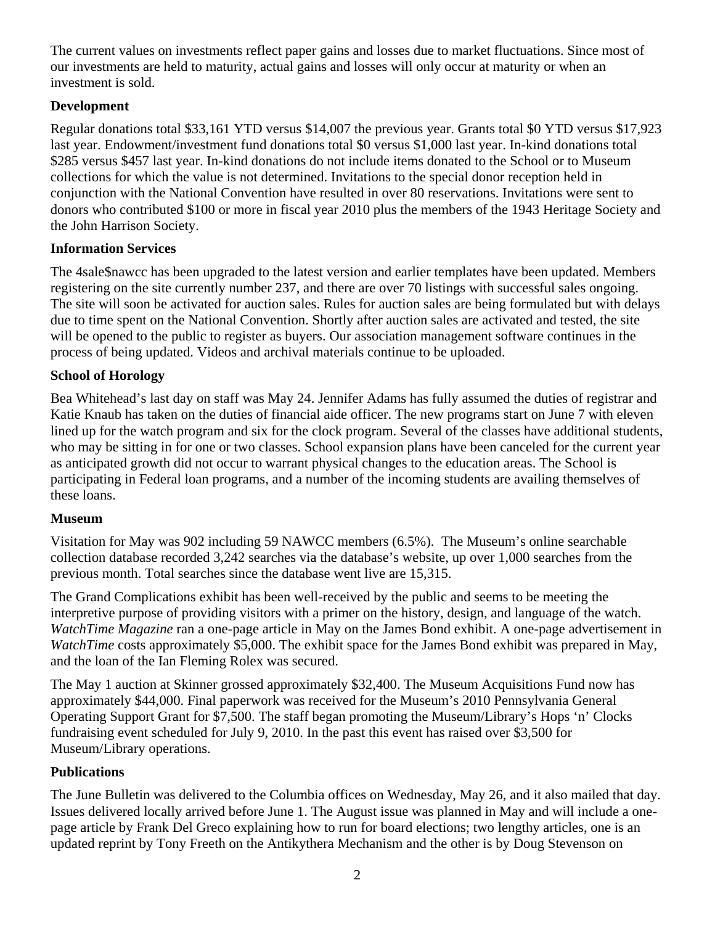The current values on investments reflect paper gains and losses due to market fluctuations. Since most of our investments are held to maturity, actual gains and losses will only occur at maturity or when an investment is sold.

## **Development**

Regular donations total \$33,161 YTD versus \$14,007 the previous year. Grants total \$0 YTD versus \$17,923 last year. Endowment/investment fund donations total \$0 versus \$1,000 last year. In-kind donations total \$285 versus \$457 last year. In-kind donations do not include items donated to the School or to Museum collections for which the value is not determined. Invitations to the special donor reception held in conjunction with the National Convention have resulted in over 80 reservations. Invitations were sent to donors who contributed \$100 or more in fiscal year 2010 plus the members of the 1943 Heritage Society and the John Harrison Society.

# **Information Services**

The 4sale\$nawcc has been upgraded to the latest version and earlier templates have been updated. Members registering on the site currently number 237, and there are over 70 listings with successful sales ongoing. The site will soon be activated for auction sales. Rules for auction sales are being formulated but with delays due to time spent on the National Convention. Shortly after auction sales are activated and tested, the site will be opened to the public to register as buyers. Our association management software continues in the process of being updated. Videos and archival materials continue to be uploaded.

# **School of Horology**

Bea Whitehead's last day on staff was May 24. Jennifer Adams has fully assumed the duties of registrar and Katie Knaub has taken on the duties of financial aide officer. The new programs start on June 7 with eleven lined up for the watch program and six for the clock program. Several of the classes have additional students, who may be sitting in for one or two classes. School expansion plans have been canceled for the current year as anticipated growth did not occur to warrant physical changes to the education areas. The School is participating in Federal loan programs, and a number of the incoming students are availing themselves of these loans.

## **Museum**

Visitation for May was 902 including 59 NAWCC members (6.5%). The Museum's online searchable collection database recorded 3,242 searches via the database's website, up over 1,000 searches from the previous month. Total searches since the database went live are 15,315.

The Grand Complications exhibit has been well-received by the public and seems to be meeting the interpretive purpose of providing visitors with a primer on the history, design, and language of the watch. *WatchTime Magazine* ran a one-page article in May on the James Bond exhibit. A one-page advertisement in *WatchTime* costs approximately \$5,000. The exhibit space for the James Bond exhibit was prepared in May, and the loan of the Ian Fleming Rolex was secured.

The May 1 auction at Skinner grossed approximately \$32,400. The Museum Acquisitions Fund now has approximately \$44,000. Final paperwork was received for the Museum's 2010 Pennsylvania General Operating Support Grant for \$7,500. The staff began promoting the Museum/Library's Hops 'n' Clocks fundraising event scheduled for July 9, 2010. In the past this event has raised over \$3,500 for Museum/Library operations.

## **Publications**

The June Bulletin was delivered to the Columbia offices on Wednesday, May 26, and it also mailed that day. Issues delivered locally arrived before June 1. The August issue was planned in May and will include a onepage article by Frank Del Greco explaining how to run for board elections; two lengthy articles, one is an updated reprint by Tony Freeth on the Antikythera Mechanism and the other is by Doug Stevenson on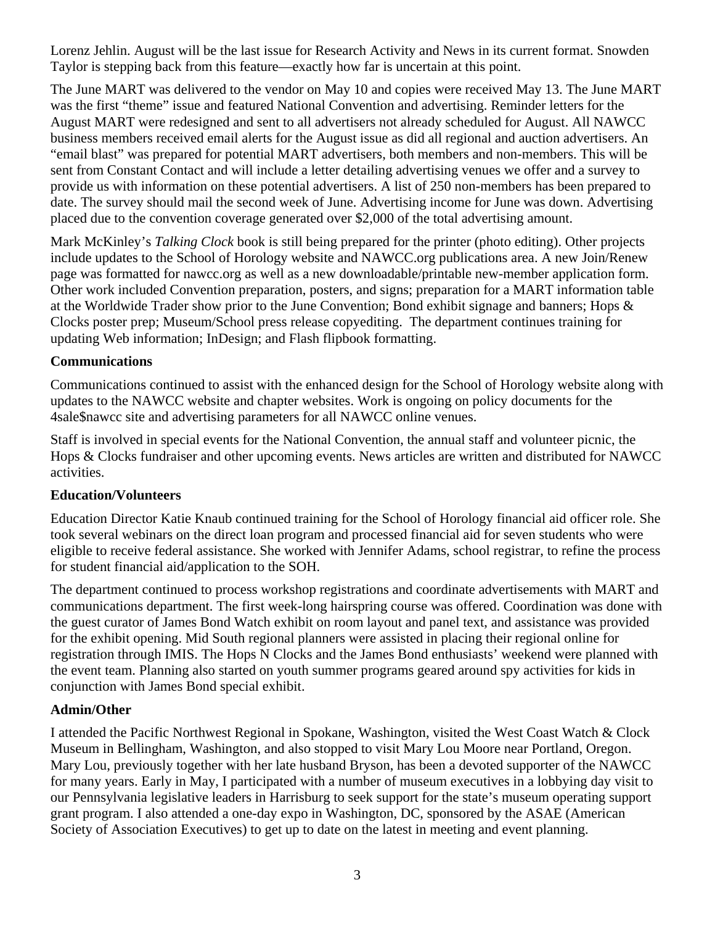Lorenz Jehlin. August will be the last issue for Research Activity and News in its current format. Snowden Taylor is stepping back from this feature—exactly how far is uncertain at this point.

The June MART was delivered to the vendor on May 10 and copies were received May 13. The June MART was the first "theme" issue and featured National Convention and advertising. Reminder letters for the August MART were redesigned and sent to all advertisers not already scheduled for August. All NAWCC business members received email alerts for the August issue as did all regional and auction advertisers. An "email blast" was prepared for potential MART advertisers, both members and non-members. This will be sent from Constant Contact and will include a letter detailing advertising venues we offer and a survey to provide us with information on these potential advertisers. A list of 250 non-members has been prepared to date. The survey should mail the second week of June. Advertising income for June was down. Advertising placed due to the convention coverage generated over \$2,000 of the total advertising amount.

Mark McKinley's *Talking Clock* book is still being prepared for the printer (photo editing). Other projects include updates to the School of Horology website and NAWCC.org publications area. A new Join/Renew page was formatted for nawcc.org as well as a new downloadable/printable new-member application form. Other work included Convention preparation, posters, and signs; preparation for a MART information table at the Worldwide Trader show prior to the June Convention; Bond exhibit signage and banners; Hops & Clocks poster prep; Museum/School press release copyediting. The department continues training for updating Web information; InDesign; and Flash flipbook formatting.

#### **Communications**

Communications continued to assist with the enhanced design for the School of Horology website along with updates to the NAWCC website and chapter websites. Work is ongoing on policy documents for the 4sale\$nawcc site and advertising parameters for all NAWCC online venues.

Staff is involved in special events for the National Convention, the annual staff and volunteer picnic, the Hops & Clocks fundraiser and other upcoming events. News articles are written and distributed for NAWCC activities.

#### **Education/Volunteers**

Education Director Katie Knaub continued training for the School of Horology financial aid officer role. She took several webinars on the direct loan program and processed financial aid for seven students who were eligible to receive federal assistance. She worked with Jennifer Adams, school registrar, to refine the process for student financial aid/application to the SOH.

The department continued to process workshop registrations and coordinate advertisements with MART and communications department. The first week-long hairspring course was offered. Coordination was done with the guest curator of James Bond Watch exhibit on room layout and panel text, and assistance was provided for the exhibit opening. Mid South regional planners were assisted in placing their regional online for registration through IMIS. The Hops N Clocks and the James Bond enthusiasts' weekend were planned with the event team. Planning also started on youth summer programs geared around spy activities for kids in conjunction with James Bond special exhibit.

#### **Admin/Other**

I attended the Pacific Northwest Regional in Spokane, Washington, visited the West Coast Watch & Clock Museum in Bellingham, Washington, and also stopped to visit Mary Lou Moore near Portland, Oregon. Mary Lou, previously together with her late husband Bryson, has been a devoted supporter of the NAWCC for many years. Early in May, I participated with a number of museum executives in a lobbying day visit to our Pennsylvania legislative leaders in Harrisburg to seek support for the state's museum operating support grant program. I also attended a one-day expo in Washington, DC, sponsored by the ASAE (American Society of Association Executives) to get up to date on the latest in meeting and event planning.